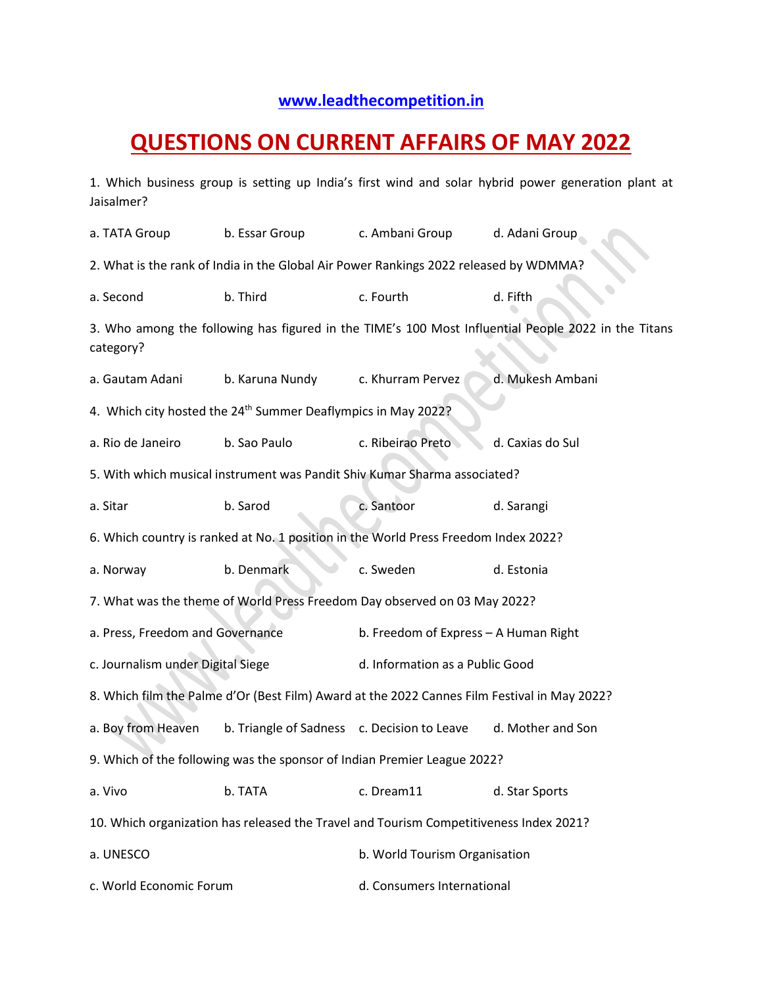## **[www.leadthecompetition.in](http://www.leadthecompetition.in/)**

## **QUESTIONS ON CURRENT AFFAIRS OF MAY 2022**

1. Which business group is setting up India's first wind and solar hybrid power generation plant at Jaisalmer?

a. TATA Group b. Essar Group c. Ambani Group d. Adani Group 2. What is the rank of India in the Global Air Power Rankings 2022 released by WDMMA? a. Second b. Third c. Fourth d. Fifth 3. Who among the following has figured in the TIME's 100 Most Influential People 2022 in the Titans category? a. Gautam Adani b. Karuna Nundy c. Khurram Pervez d. Mukesh Ambani 4. Which city hosted the 24<sup>th</sup> Summer Deaflympics in May 2022? a. Rio de Janeiro b. Sao Paulo c. Ribeirao Preto d. Caxias do Sul 5. With which musical instrument was Pandit Shiv Kumar Sharma associated? a. Sitar b. Sarod c. Santoor d. Sarangi 6. Which country is ranked at No. 1 position in the World Press Freedom Index 2022? a. Norway b. Denmark c. Sweden d. Estonia 7. What was the theme of World Press Freedom Day observed on 03 May 2022? a. Press, Freedom and Governance b. Freedom of Express – A Human Right c. Journalism under Digital Siege d. Information as a Public Good 8. Which film the Palme d'Or (Best Film) Award at the 2022 Cannes Film Festival in May 2022? a. Boy from Heaven b. Triangle of Sadness c. Decision to Leave d. Mother and Son 9. Which of the following was the sponsor of Indian Premier League 2022? a. Vivo b. TATA c. Dream11 d. Star Sports 10. Which organization has released the Travel and Tourism Competitiveness Index 2021? a. UNESCO b. World Tourism Organisation c. World Economic Forum d. Consumers International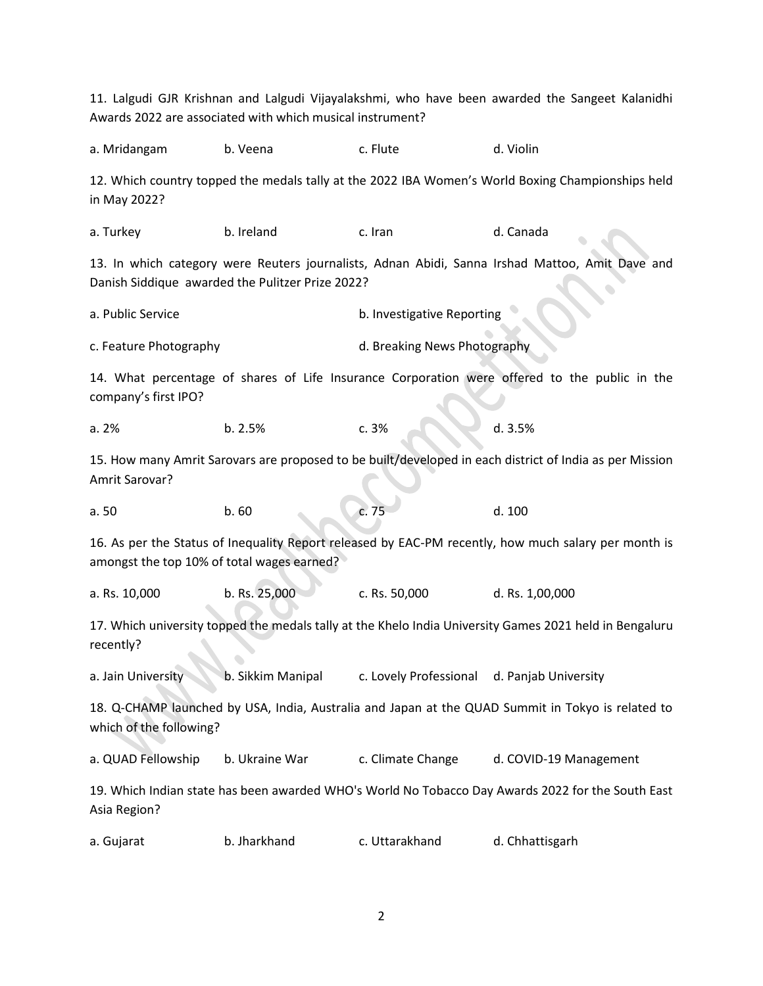11. Lalgudi GJR Krishnan and Lalgudi Vijayalakshmi, who have been awarded the Sangeet Kalanidhi Awards 2022 are associated with which musical instrument? a. Mridangam b. Veena c. Flute d. Violin 12. Which country topped the medals tally at the 2022 IBA Women's World Boxing Championships held in May 2022? a. Turkey b. Ireland c. Iran d. Canada 13. In which category were Reuters journalists, Adnan Abidi, Sanna Irshad Mattoo, Amit Dave and Danish Siddique awarded the Pulitzer Prize 2022? a. Public Service b. Investigative Reporting c. Feature Photography d. Breaking News Photography 14. What percentage of shares of Life Insurance Corporation were offered to the public in the company's first IPO? a. 2% b. 2.5% c. 3% d. 3.5% 15. How many Amrit Sarovars are proposed to be built/developed in each district of India as per Mission Amrit Sarovar? a. 50 b. 60 c. 75 d. 100 16. As per the Status of Inequality Report released by EAC-PM recently, how much salary per month is amongst the top 10% of total wages earned? a. Rs. 10,000 b. Rs. 25,000 c. Rs. 50,000 d. Rs. 1,00,000 17. Which university topped the medals tally at the Khelo India University Games 2021 held in Bengaluru recently? a. Jain University b. Sikkim Manipal c. Lovely Professional d. Panjab University 18. Q-CHAMP launched by USA, India, Australia and Japan at the QUAD Summit in Tokyo is related to which of the following? a. QUAD Fellowship b. Ukraine War c. Climate Change d. COVID-19 Management 19. Which Indian state has been awarded WHO's World No Tobacco Day Awards 2022 for the South East Asia Region? a. Gujarat b. Jharkhand c. Uttarakhand d. Chhattisgarh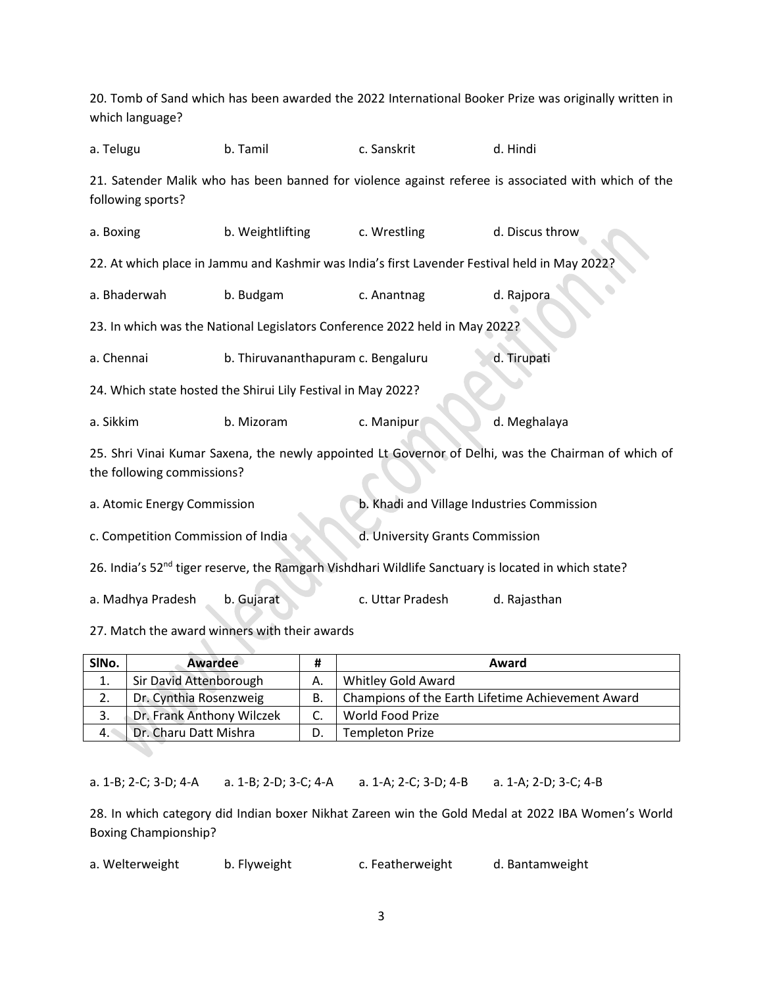| which language?                                              |                                    |                                                                                               | 20. Tomb of Sand which has been awarded the 2022 International Booker Prize was originally written in           |  |  |
|--------------------------------------------------------------|------------------------------------|-----------------------------------------------------------------------------------------------|-----------------------------------------------------------------------------------------------------------------|--|--|
| a. Telugu                                                    | b. Tamil                           | c. Sanskrit                                                                                   | d. Hindi                                                                                                        |  |  |
| following sports?                                            |                                    |                                                                                               | 21. Satender Malik who has been banned for violence against referee is associated with which of the             |  |  |
| a. Boxing                                                    | b. Weightlifting                   | c. Wrestling                                                                                  | d. Discus throw                                                                                                 |  |  |
|                                                              |                                    | 22. At which place in Jammu and Kashmir was India's first Lavender Festival held in May 2022? |                                                                                                                 |  |  |
| a. Bhaderwah                                                 | b. Budgam                          | c. Anantnag                                                                                   | d. Rajpora                                                                                                      |  |  |
|                                                              |                                    | 23. In which was the National Legislators Conference 2022 held in May 2022?                   |                                                                                                                 |  |  |
| a. Chennai                                                   | b. Thiruvananthapuram c. Bengaluru |                                                                                               | d. Tirupati                                                                                                     |  |  |
| 24. Which state hosted the Shirui Lily Festival in May 2022? |                                    |                                                                                               |                                                                                                                 |  |  |
| a. Sikkim                                                    | b. Mizoram                         | c. Manipur                                                                                    | d. Meghalaya                                                                                                    |  |  |
| the following commissions?                                   |                                    |                                                                                               | 25. Shri Vinai Kumar Saxena, the newly appointed Lt Governor of Delhi, was the Chairman of which of             |  |  |
| a. Atomic Energy Commission                                  |                                    | b. Khadi and Village Industries Commission                                                    |                                                                                                                 |  |  |
| c. Competition Commission of India                           |                                    | d. University Grants Commission                                                               |                                                                                                                 |  |  |
|                                                              |                                    |                                                                                               | 26. India's 52 <sup>nd</sup> tiger reserve, the Ramgarh Vishdhari Wildlife Sanctuary is located in which state? |  |  |
| a. Madhya Pradesh                                            | b. Gujarat                         | c. Uttar Pradesh                                                                              | d. Rajasthan                                                                                                    |  |  |
| 27. Match the award winners with their awards                |                                    |                                                                                               |                                                                                                                 |  |  |

| SINo. | Awardee                   |    | Award                                             |
|-------|---------------------------|----|---------------------------------------------------|
| 1.    | Sir David Attenborough    | А. | Whitley Gold Award                                |
| 2.    | Dr. Cynthia Rosenzweig    | В. | Champions of the Earth Lifetime Achievement Award |
| 3.    | Dr. Frank Anthony Wilczek |    | World Food Prize                                  |
| 4.    | Dr. Charu Datt Mishra     |    | <b>Templeton Prize</b>                            |

a. 1-B; 2-C; 3-D; 4-A a. 1-B; 2-D; 3-C; 4-A a. 1-A; 2-C; 3-D; 4-B a. 1-A; 2-D; 3-C; 4-B

28. In which category did Indian boxer Nikhat Zareen win the Gold Medal at 2022 IBA Women's World Boxing Championship?

| a. Welterweight | b. Flyweight | c. Featherweight | d. Bantamweight |
|-----------------|--------------|------------------|-----------------|
|-----------------|--------------|------------------|-----------------|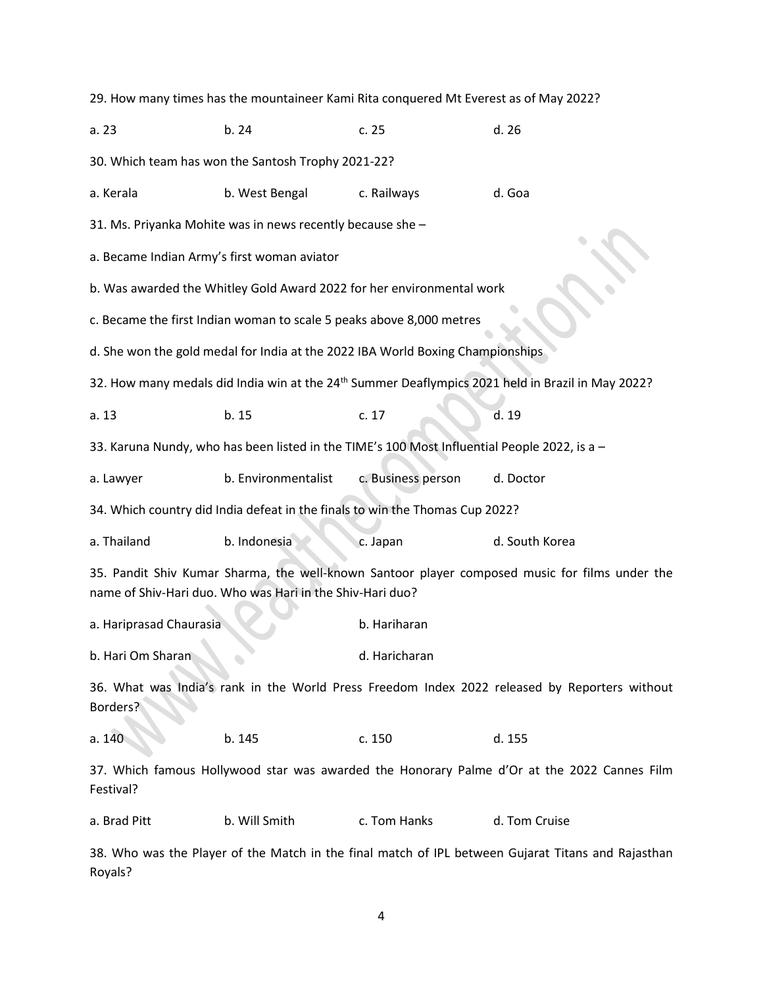29. How many times has the mountaineer Kami Rita conquered Mt Everest as of May 2022? a. 23 b. 24 c. 25 d. 26 30. Which team has won the Santosh Trophy 2021-22? a. Kerala b. West Bengal c. Railways d. Goa 31. Ms. Priyanka Mohite was in news recently because she – a. Became Indian Army's first woman aviator b. Was awarded the Whitley Gold Award 2022 for her environmental work c. Became the first Indian woman to scale 5 peaks above 8,000 metres d. She won the gold medal for India at the 2022 IBA World Boxing Championships 32. How many medals did India win at the 24<sup>th</sup> Summer Deaflympics 2021 held in Brazil in May 2022? a. 13 b. 15 c. 17 d. 19 33. Karuna Nundy, who has been listed in the TIME's 100 Most Influential People 2022, is a – a. Lawyer b. Environmentalist c. Business person d. Doctor 34. Which country did India defeat in the finals to win the Thomas Cup 2022? a. Thailand b. Indonesia c. Japan d. South Korea 35. Pandit Shiv Kumar Sharma, the well-known Santoor player composed music for films under the name of Shiv-Hari duo. Who was Hari in the Shiv-Hari duo? a. Hariprasad Chaurasia b. Hariharan b. Hari Om Sharan d. Haricharan d. Haricharan 36. What was India's rank in the World Press Freedom Index 2022 released by Reporters without Borders? a. 140 b. 145 c. 150 d. 155 37. Which famous Hollywood star was awarded the Honorary Palme d'Or at the 2022 Cannes Film Festival? a. Brad Pitt b. Will Smith c. Tom Hanks d. Tom Cruise 38. Who was the Player of the Match in the final match of IPL between Gujarat Titans and Rajasthan Royals?